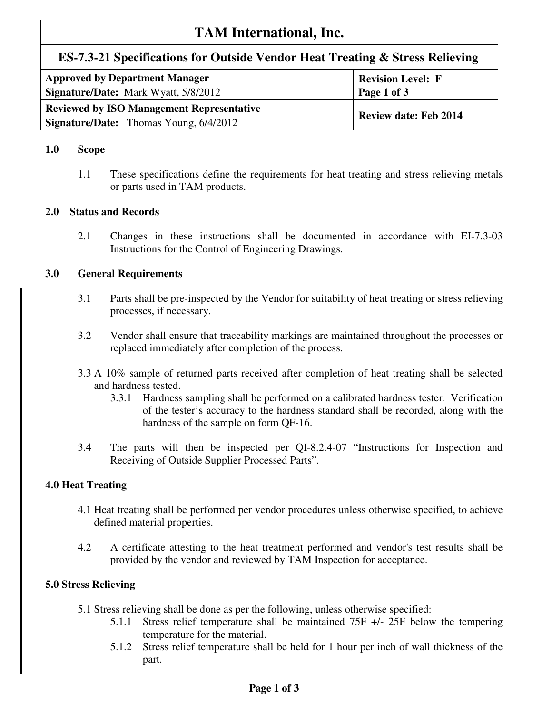# **TAM International, Inc.**

# **ES-7.3-21 Specifications for Outside Vendor Heat Treating & Stress Relieving**

| <b>Approved by Department Manager</b><br><b>Signature/Date:</b> Mark Wyatt, 5/8/2012 | <b>Revision Level: F</b><br>Page 1 of 3 |  |
|--------------------------------------------------------------------------------------|-----------------------------------------|--|
| <b>Reviewed by ISO Management Representative</b>                                     | <b>Review date: Feb 2014</b>            |  |
| <b>Signature/Date:</b> Thomas Young, 6/4/2012                                        |                                         |  |

# **1.0 Scope**

1.1 These specifications define the requirements for heat treating and stress relieving metals or parts used in TAM products.

# **2.0 Status and Records**

2.1 Changes in these instructions shall be documented in accordance with EI-7.3-03 Instructions for the Control of Engineering Drawings.

# **3.0 General Requirements**

- 3.1 Parts shall be pre-inspected by the Vendor for suitability of heat treating or stress relieving processes, if necessary.
- 3.2 Vendor shall ensure that traceability markings are maintained throughout the processes or replaced immediately after completion of the process.
- 3.3 A 10% sample of returned parts received after completion of heat treating shall be selected and hardness tested.
	- 3.3.1 Hardness sampling shall be performed on a calibrated hardness tester. Verification of the tester's accuracy to the hardness standard shall be recorded, along with the hardness of the sample on form QF-16.
- 3.4 The parts will then be inspected per QI-8.2.4-07 "Instructions for Inspection and Receiving of Outside Supplier Processed Parts".

#### **4.0 Heat Treating**

- 4.1 Heat treating shall be performed per vendor procedures unless otherwise specified, to achieve defined material properties.
- 4.2 A certificate attesting to the heat treatment performed and vendor's test results shall be provided by the vendor and reviewed by TAM Inspection for acceptance.

# **5.0 Stress Relieving**

- 5.1 Stress relieving shall be done as per the following, unless otherwise specified:
	- 5.1.1 Stress relief temperature shall be maintained 75F +/- 25F below the tempering temperature for the material.
	- 5.1.2 Stress relief temperature shall be held for 1 hour per inch of wall thickness of the part.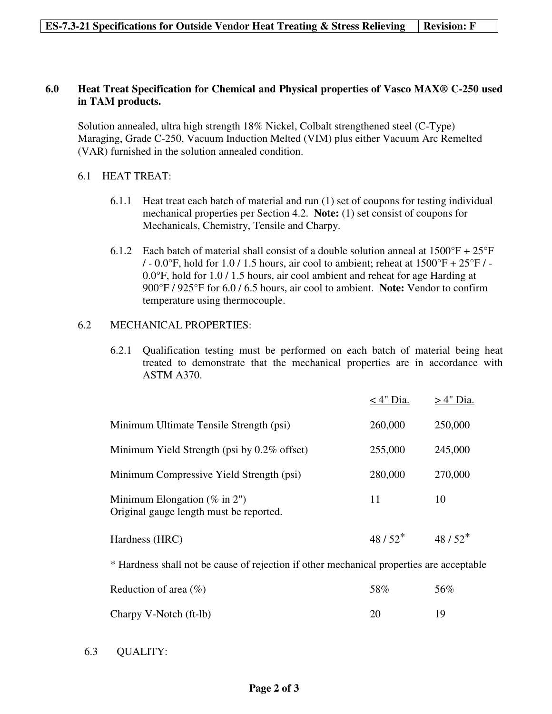#### **ES-7.3-21 Specifications for Outside Vendor Heat Treating & Stress Relieving | Revision: F**

# **6.0 Heat Treat Specification for Chemical and Physical properties of Vasco MAX® C-250 used in TAM products.**

Solution annealed, ultra high strength 18% Nickel, Colbalt strengthened steel (C-Type) Maraging, Grade C-250, Vacuum Induction Melted (VIM) plus either Vacuum Arc Remelted (VAR) furnished in the solution annealed condition.

# 6.1 HEAT TREAT:

- 6.1.1 Heat treat each batch of material and run (1) set of coupons for testing individual mechanical properties per Section 4.2. **Note:** (1) set consist of coupons for Mechanicals, Chemistry, Tensile and Charpy.
- 6.1.2 Each batch of material shall consist of a double solution anneal at  $1500^{\circ}F + 25^{\circ}F$  $/ -0.0\degree$ F, hold for 1.0 / 1.5 hours, air cool to ambient; reheat at 1500 $\degree$ F + 25 $\degree$ F / -0.0°F, hold for 1.0 / 1.5 hours, air cool ambient and reheat for age Harding at 900°F / 925°F for 6.0 / 6.5 hours, air cool to ambient. **Note:** Vendor to confirm temperature using thermocouple.

# 6.2 MECHANICAL PROPERTIES:

6.2.1 Qualification testing must be performed on each batch of material being heat treated to demonstrate that the mechanical properties are in accordance with ASTM A370.

|                                                                             | $<$ 4" Dia. | $>4"$ Dia. |
|-----------------------------------------------------------------------------|-------------|------------|
| Minimum Ultimate Tensile Strength (psi)                                     | 260,000     | 250,000    |
| Minimum Yield Strength (psi by $0.2\%$ offset)                              | 255,000     | 245,000    |
| Minimum Compressive Yield Strength (psi)                                    | 280,000     | 270,000    |
| Minimum Elongation ( $\%$ in 2")<br>Original gauge length must be reported. | 11          | 10         |
| Hardness (HRC)                                                              | $48/52^*$   | $48/52^*$  |

\* Hardness shall not be cause of rejection if other mechanical properties are acceptable

| Reduction of area $(\% )$ | .58% | 56% |
|---------------------------|------|-----|
| Charpy V-Notch (ft-lb)    | 20   | 19  |

6.3 QUALITY: